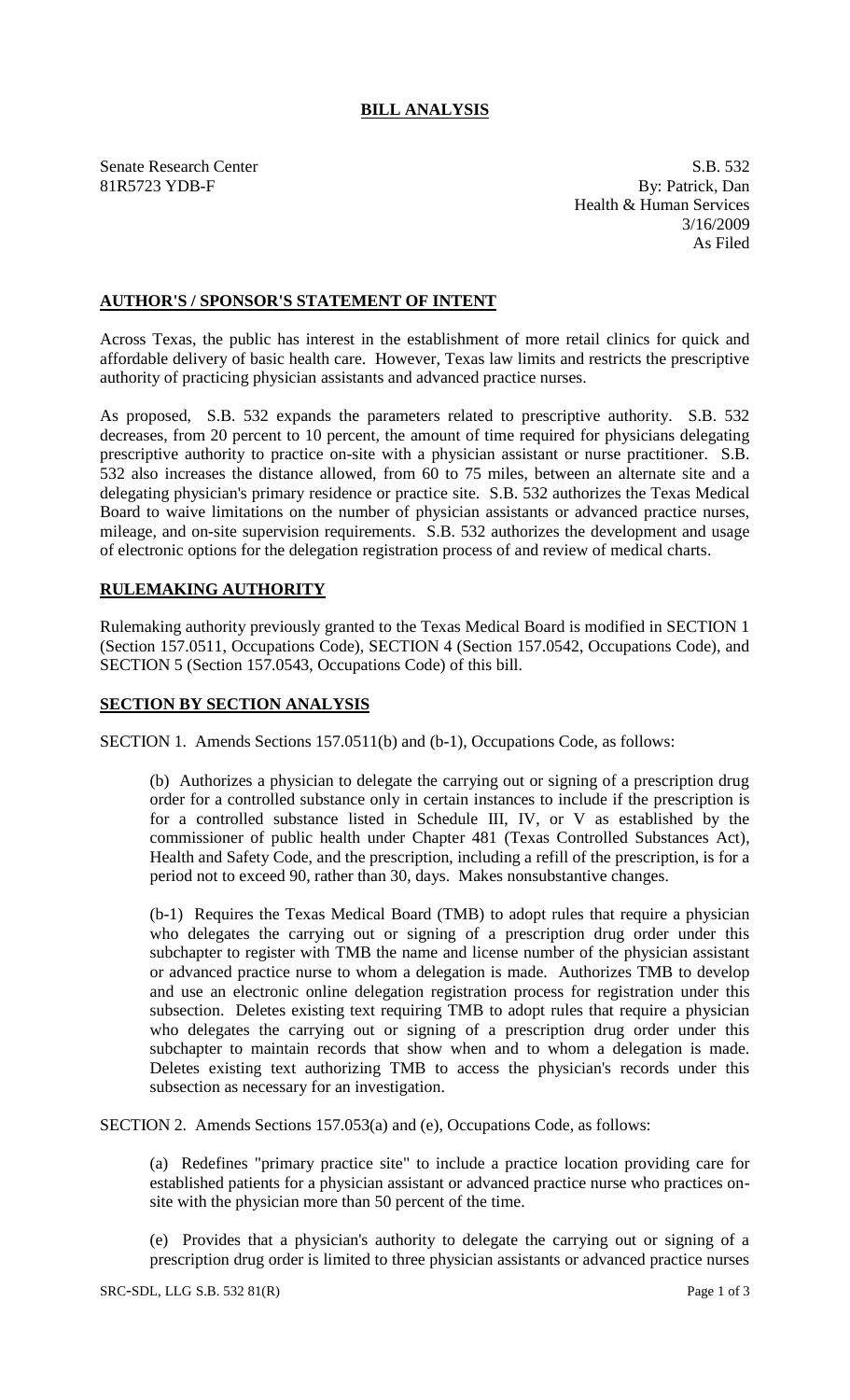## **BILL ANALYSIS**

Senate Research Center S.B. 532 81R5723 YDB-F By: Patrick, Dan Health & Human Services 3/16/2009 As Filed

## **AUTHOR'S / SPONSOR'S STATEMENT OF INTENT**

Across Texas, the public has interest in the establishment of more retail clinics for quick and affordable delivery of basic health care. However, Texas law limits and restricts the prescriptive authority of practicing physician assistants and advanced practice nurses.

As proposed, S.B. 532 expands the parameters related to prescriptive authority. S.B. 532 decreases, from 20 percent to 10 percent, the amount of time required for physicians delegating prescriptive authority to practice on-site with a physician assistant or nurse practitioner. S.B. 532 also increases the distance allowed, from 60 to 75 miles, between an alternate site and a delegating physician's primary residence or practice site. S.B. 532 authorizes the Texas Medical Board to waive limitations on the number of physician assistants or advanced practice nurses, mileage, and on-site supervision requirements. S.B. 532 authorizes the development and usage of electronic options for the delegation registration process of and review of medical charts.

## **RULEMAKING AUTHORITY**

Rulemaking authority previously granted to the Texas Medical Board is modified in SECTION 1 (Section 157.0511, Occupations Code), SECTION 4 (Section 157.0542, Occupations Code), and SECTION 5 (Section 157.0543, Occupations Code) of this bill.

## **SECTION BY SECTION ANALYSIS**

SECTION 1. Amends Sections 157.0511(b) and (b-1), Occupations Code, as follows:

(b) Authorizes a physician to delegate the carrying out or signing of a prescription drug order for a controlled substance only in certain instances to include if the prescription is for a controlled substance listed in Schedule III, IV, or V as established by the commissioner of public health under Chapter 481 (Texas Controlled Substances Act), Health and Safety Code, and the prescription, including a refill of the prescription, is for a period not to exceed 90, rather than 30, days. Makes nonsubstantive changes.

(b-1) Requires the Texas Medical Board (TMB) to adopt rules that require a physician who delegates the carrying out or signing of a prescription drug order under this subchapter to register with TMB the name and license number of the physician assistant or advanced practice nurse to whom a delegation is made. Authorizes TMB to develop and use an electronic online delegation registration process for registration under this subsection. Deletes existing text requiring TMB to adopt rules that require a physician who delegates the carrying out or signing of a prescription drug order under this subchapter to maintain records that show when and to whom a delegation is made. Deletes existing text authorizing TMB to access the physician's records under this subsection as necessary for an investigation.

SECTION 2. Amends Sections 157.053(a) and (e), Occupations Code, as follows:

(a) Redefines "primary practice site" to include a practice location providing care for established patients for a physician assistant or advanced practice nurse who practices onsite with the physician more than 50 percent of the time.

(e) Provides that a physician's authority to delegate the carrying out or signing of a prescription drug order is limited to three physician assistants or advanced practice nurses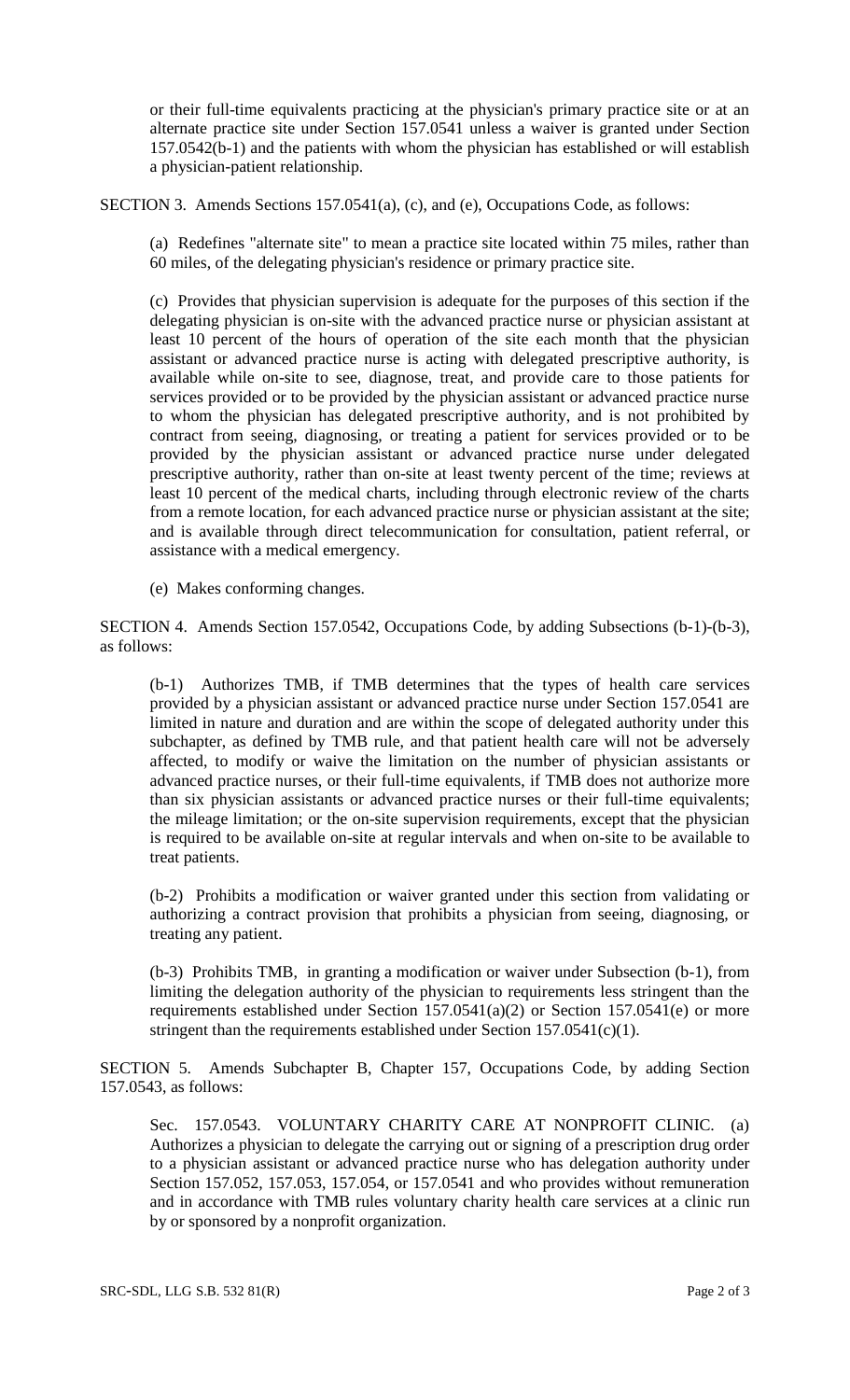or their full-time equivalents practicing at the physician's primary practice site or at an alternate practice site under Section 157.0541 unless a waiver is granted under Section 157.0542(b-1) and the patients with whom the physician has established or will establish a physician-patient relationship.

SECTION 3. Amends Sections 157.0541(a), (c), and (e), Occupations Code, as follows:

(a) Redefines "alternate site" to mean a practice site located within 75 miles, rather than 60 miles, of the delegating physician's residence or primary practice site.

(c) Provides that physician supervision is adequate for the purposes of this section if the delegating physician is on-site with the advanced practice nurse or physician assistant at least 10 percent of the hours of operation of the site each month that the physician assistant or advanced practice nurse is acting with delegated prescriptive authority, is available while on-site to see, diagnose, treat, and provide care to those patients for services provided or to be provided by the physician assistant or advanced practice nurse to whom the physician has delegated prescriptive authority, and is not prohibited by contract from seeing, diagnosing, or treating a patient for services provided or to be provided by the physician assistant or advanced practice nurse under delegated prescriptive authority, rather than on-site at least twenty percent of the time; reviews at least 10 percent of the medical charts, including through electronic review of the charts from a remote location, for each advanced practice nurse or physician assistant at the site; and is available through direct telecommunication for consultation, patient referral, or assistance with a medical emergency.

(e) Makes conforming changes.

SECTION 4. Amends Section 157.0542, Occupations Code, by adding Subsections (b-1)-(b-3), as follows:

(b-1) Authorizes TMB, if TMB determines that the types of health care services provided by a physician assistant or advanced practice nurse under Section 157.0541 are limited in nature and duration and are within the scope of delegated authority under this subchapter, as defined by TMB rule, and that patient health care will not be adversely affected, to modify or waive the limitation on the number of physician assistants or advanced practice nurses, or their full-time equivalents, if TMB does not authorize more than six physician assistants or advanced practice nurses or their full-time equivalents; the mileage limitation; or the on-site supervision requirements, except that the physician is required to be available on-site at regular intervals and when on-site to be available to treat patients.

(b-2) Prohibits a modification or waiver granted under this section from validating or authorizing a contract provision that prohibits a physician from seeing, diagnosing, or treating any patient.

(b-3) Prohibits TMB, in granting a modification or waiver under Subsection (b-1), from limiting the delegation authority of the physician to requirements less stringent than the requirements established under Section 157.0541(a)(2) or Section 157.0541(e) or more stringent than the requirements established under Section 157.0541(c)(1).

SECTION 5. Amends Subchapter B, Chapter 157, Occupations Code, by adding Section 157.0543, as follows:

Sec. 157.0543. VOLUNTARY CHARITY CARE AT NONPROFIT CLINIC. (a) Authorizes a physician to delegate the carrying out or signing of a prescription drug order to a physician assistant or advanced practice nurse who has delegation authority under Section 157.052, 157.053, 157.054, or 157.0541 and who provides without remuneration and in accordance with TMB rules voluntary charity health care services at a clinic run by or sponsored by a nonprofit organization.